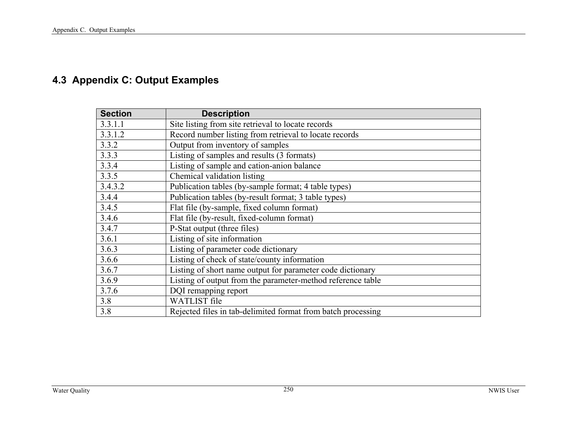# <span id="page-0-0"></span>**4.3 Appendix C: Output Examples**

| <b>Section</b> | <b>Description</b>                                           |
|----------------|--------------------------------------------------------------|
| 3.3.1.1        | Site listing from site retrieval to locate records           |
| 3.3.1.2        | Record number listing from retrieval to locate records       |
| 3.3.2          | Output from inventory of samples                             |
| 3.3.3          | Listing of samples and results (3 formats)                   |
| 3.3.4          | Listing of sample and cation-anion balance                   |
| 3.3.5          | Chemical validation listing                                  |
| 3.4.3.2        | Publication tables (by-sample format; 4 table types)         |
| 3.4.4          | Publication tables (by-result format; 3 table types)         |
| 3.4.5          | Flat file (by-sample, fixed column format)                   |
| 3.4.6          | Flat file (by-result, fixed-column format)                   |
| 3.4.7          | P-Stat output (three files)                                  |
| 3.6.1          | Listing of site information                                  |
| 3.6.3          | Listing of parameter code dictionary                         |
| 3.6.6          | Listing of check of state/county information                 |
| 3.6.7          | Listing of short name output for parameter code dictionary   |
| 3.6.9          | Listing of output from the parameter-method reference table  |
| 3.7.6          | DQI remapping report                                         |
| 3.8            | <b>WATLIST</b> file                                          |
| 3.8            | Rejected files in tab-delimited format from batch processing |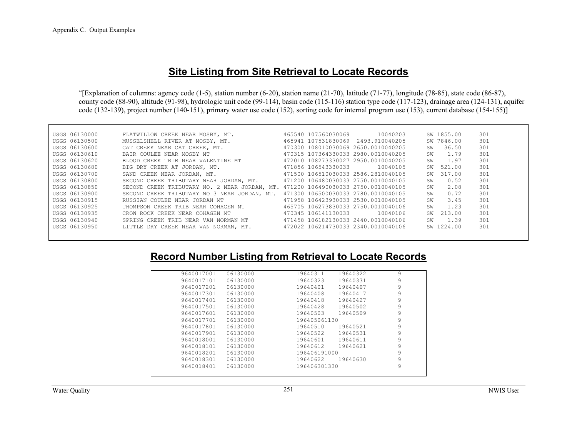### **Site Listing from Site Retrieval to Locate Records**

"[Explanation of columns: agency code (1-5), station number (6-20), station name (21-70), latitude (71-77), longitude (78-85), state code (86-87), county code (88-90), altitude (91-98), hydrologic unit code (99-114), basin code (115-116) station type code (117-123), drainage area (124-131), aquifer code (132-139), project number (140-151), primary water use code (152), sorting code for internal program use (153), current database (154-155)]

| USGS 06130000 | FLATWILLOW CREEK NEAR MOSBY, MT.                                                  |                     | 465540 107560030069 10040203        |    | SW 1855.00 | 301 |
|---------------|-----------------------------------------------------------------------------------|---------------------|-------------------------------------|----|------------|-----|
| USGS 06130500 | MUSSELSHELL RIVER AT MOSBY, MT.                                                   |                     | 465941 107531830069 2493.910040205  |    | SW 7846.00 | 301 |
| USGS 06130600 | CAT CREEK NEAR CAT CREEK, MT.                                                     |                     | 470300 108010030069 2650.0010040205 | SW | 36.50      | 301 |
| USGS 06130610 | BAIR COULEE NEAR MOSBY MT                                                         |                     | 470315 107364330033 2980.0010040205 | SW | 1.79       | 301 |
| USGS 06130620 | BLOOD CREEK TRIB NEAR VALENTINE MT                                                |                     | 472010 108273330027 2950.0010040205 | SW | 1.97       | 301 |
| USGS 06130680 | BIG DRY CREEK AT JORDAN, MT.                                                      |                     | 471856 106543330033 10040105        | SW | 521.00     | 301 |
| USGS 06130700 | 471500 106510030033 2586.2810040105<br>SAND CREEK NEAR JORDAN, MT.                |                     |                                     | SM | 317.00     | 301 |
| USGS 06130800 | SECOND CREEK TRIBUTARY NEAR JORDAN, MT. 471200 106480030033 2750.0010040105       |                     |                                     | SW | 0.52       | 301 |
| USGS 06130850 | SECOND CREEK TRIBUTARY NO. 2 NEAR JORDAN, MT. 471200 106490030033 2750.0010040105 |                     |                                     | SW | 2.08       | 301 |
| USGS 06130900 | SECOND CREEK TRIBUTARY NO 3 NEAR JORDAN, MT.                                      |                     | 471300 106500030033 2780.0010040105 | SW | 0.72       | 301 |
| USGS 06130915 | RUSSIAN COULEE NEAR JORDAN MT                                                     |                     | 471958 106423930033 2530.0010040105 | SW | 3.45       | 301 |
| USGS 06130925 | THOMPSON CREEK TRIB NEAR COHAGEN MT                                               |                     | 465705 106273830033 2750.0010040106 | SW | 1.23       | 301 |
| USGS 06130935 | CROW ROCK CREEK NEAR COHAGEN MT                                                   | 470345 106141130033 | 10040106                            | SW | 213.00     | 301 |
| USGS 06130940 | SPRING CREEK TRIB NEAR VAN NORMAN MT                                              |                     | 471458 106182130033 2440.0010040106 | SW | 1.39       | 301 |
| USGS 06130950 | LITTLE DRY CREEK NEAR VAN NORMAN, MT.                                             |                     | 472022 106214730033 2340.0010040106 |    | SW 1224.00 | 301 |
|               |                                                                                   |                     |                                     |    |            |     |

### **Record Number Listing from Retrieval to Locate Records**

| 9<br>9640017001<br>06130000<br>19640311<br>19640322<br>9<br>06130000<br>19640323<br>19640331<br>9640017101<br>9<br>9640017201<br>06130000<br>19640401<br>19640407<br>9<br>06130000<br>19640408<br>19640417<br>9640017301<br>9<br>9640017401<br>06130000<br>19640418<br>19640427<br>9<br>06130000<br>19640428<br>19640502<br>9640017501<br>9<br>19640509<br>9640017601<br>06130000<br>19640503<br>9<br>06130000<br>9640017701<br>196405061130<br>9<br>9640017801<br>06130000<br>19640510<br>19640521<br>9<br>9640017901<br>06130000<br>19640522<br>19640531<br>9<br>19640611<br>9640018001<br>06130000<br>19640601<br>9<br>19640621<br>9640018101<br>06130000<br>19640612<br>9<br>9640018201<br>06130000<br>196406191000<br>9<br>19640622<br>9640018301<br>06130000<br>19640630<br>9<br>9640018401<br>06130000<br>196406301330 |  |  |  |
|-------------------------------------------------------------------------------------------------------------------------------------------------------------------------------------------------------------------------------------------------------------------------------------------------------------------------------------------------------------------------------------------------------------------------------------------------------------------------------------------------------------------------------------------------------------------------------------------------------------------------------------------------------------------------------------------------------------------------------------------------------------------------------------------------------------------------------|--|--|--|
|                                                                                                                                                                                                                                                                                                                                                                                                                                                                                                                                                                                                                                                                                                                                                                                                                               |  |  |  |
|                                                                                                                                                                                                                                                                                                                                                                                                                                                                                                                                                                                                                                                                                                                                                                                                                               |  |  |  |
|                                                                                                                                                                                                                                                                                                                                                                                                                                                                                                                                                                                                                                                                                                                                                                                                                               |  |  |  |
|                                                                                                                                                                                                                                                                                                                                                                                                                                                                                                                                                                                                                                                                                                                                                                                                                               |  |  |  |
|                                                                                                                                                                                                                                                                                                                                                                                                                                                                                                                                                                                                                                                                                                                                                                                                                               |  |  |  |
|                                                                                                                                                                                                                                                                                                                                                                                                                                                                                                                                                                                                                                                                                                                                                                                                                               |  |  |  |
|                                                                                                                                                                                                                                                                                                                                                                                                                                                                                                                                                                                                                                                                                                                                                                                                                               |  |  |  |
|                                                                                                                                                                                                                                                                                                                                                                                                                                                                                                                                                                                                                                                                                                                                                                                                                               |  |  |  |
|                                                                                                                                                                                                                                                                                                                                                                                                                                                                                                                                                                                                                                                                                                                                                                                                                               |  |  |  |
|                                                                                                                                                                                                                                                                                                                                                                                                                                                                                                                                                                                                                                                                                                                                                                                                                               |  |  |  |
|                                                                                                                                                                                                                                                                                                                                                                                                                                                                                                                                                                                                                                                                                                                                                                                                                               |  |  |  |
|                                                                                                                                                                                                                                                                                                                                                                                                                                                                                                                                                                                                                                                                                                                                                                                                                               |  |  |  |
|                                                                                                                                                                                                                                                                                                                                                                                                                                                                                                                                                                                                                                                                                                                                                                                                                               |  |  |  |
|                                                                                                                                                                                                                                                                                                                                                                                                                                                                                                                                                                                                                                                                                                                                                                                                                               |  |  |  |
|                                                                                                                                                                                                                                                                                                                                                                                                                                                                                                                                                                                                                                                                                                                                                                                                                               |  |  |  |
|                                                                                                                                                                                                                                                                                                                                                                                                                                                                                                                                                                                                                                                                                                                                                                                                                               |  |  |  |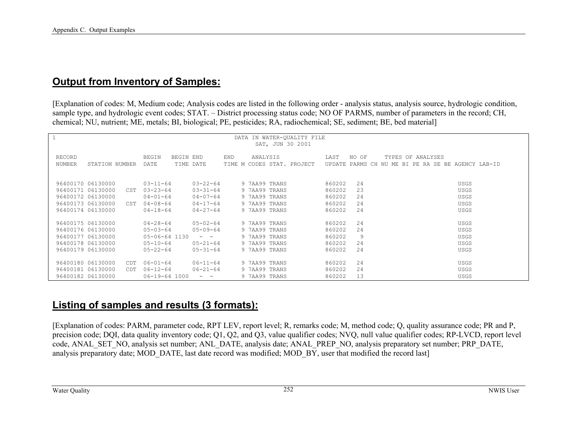### **Output from Inventory of Samples:**

[Explanation of codes: M, Medium code; Analysis codes are listed in the following order - analysis status, analysis source, hydrologic condition, sample type, and hydrologic event codes; STAT. – District processing status code; NO OF PARMS, number of parameters in the record; CH, chemical; NU, nutrient; ME, metals; BI, biological; PE, pesticides; RA, radiochemical; SE, sediment; BE, bed material]

|                                 |                                                                                                                  | DATA IN WATER-QUALITY FILE |                                                       |
|---------------------------------|------------------------------------------------------------------------------------------------------------------|----------------------------|-------------------------------------------------------|
|                                 |                                                                                                                  | SAT, JUN 30 2001           |                                                       |
|                                 |                                                                                                                  |                            |                                                       |
| RECORD                          | <b>BEGIN</b><br>BEGIN END                                                                                        | END<br>ANALYSIS            | LAST<br>NO OF<br>TYPES OF ANALYSES                    |
| NUMBER<br>STATION NUMBER        | DATE<br>TIME DATE                                                                                                | TIME M CODES STAT. PROJECT | UPDATE<br>PARMS CH NU ME BI PE RA SE BE AGENCY LAB-ID |
|                                 |                                                                                                                  |                            |                                                       |
|                                 |                                                                                                                  |                            |                                                       |
| 96400170 06130000               | $03 - 22 - 64$<br>$03 - 11 - 64$                                                                                 | 9 7AA99 TRANS              | 860202<br>2.4<br>USGS                                 |
| 96400171 06130000<br>CST        | $03 - 23 - 64$<br>$03 - 31 - 64$                                                                                 | 9 7AA99 TRANS              | 860202<br>23<br><b>USGS</b>                           |
| 96400172 06130000               | $04 - 01 - 64$<br>$04 - 07 - 64$                                                                                 | 9 7AA99 TRANS              | 860202<br>24<br>USGS                                  |
| 96400173 06130000<br>CST        | $04 - 08 - 64$<br>$04 - 17 - 64$                                                                                 | 9 7AA99 TRANS              | 860202<br>24<br><b>USGS</b>                           |
| 96400174 06130000               | $04 - 18 - 64$<br>$04 - 27 - 64$                                                                                 | 9 7AA99 TRANS              | 24<br>860202<br><b>USGS</b>                           |
|                                 |                                                                                                                  |                            |                                                       |
| 96400175 06130000               | $04 - 28 - 64$<br>$05 - 02 - 64$                                                                                 | 9 7AA99 TRANS              | 860202<br>2.4<br>USGS                                 |
| 96400176 06130000               | $05 - 03 - 64$<br>$05 - 09 - 64$                                                                                 | 9 7AA99 TRANS              | 24<br>860202<br>USGS                                  |
| 96400177 06130000               | 05-06-64 1130<br>$\frac{1}{2} \left( \frac{1}{2} \right) = \frac{1}{2} \left( \frac{1}{2} \right) = \frac{1}{2}$ | 9 7AA99 TRANS              | 9<br>860202<br>USGS                                   |
| 96400178 06130000               | $05 - 10 - 64$<br>$05 - 21 - 64$                                                                                 | 9 7AA99 TRANS              | 860202<br>24<br><b>USGS</b>                           |
| 96400179 06130000               | $05 - 22 - 64$<br>$05 - 31 - 64$                                                                                 | 9 7AA99 TRANS              | 24<br>860202<br><b>USGS</b>                           |
|                                 |                                                                                                                  |                            |                                                       |
| 96400180 06130000<br><b>CDT</b> | $06 - 01 - 64$<br>$06 - 11 - 64$                                                                                 | 9 7AA99 TRANS              | 860202<br>24<br>USGS                                  |
| 96400181 06130000<br>CDT.       | $06 - 12 - 64$<br>$06 - 21 - 64$                                                                                 | 9 7AA99 TRANS              | 24<br>860202<br>USGS                                  |
| 96400182 06130000               | 06-19-64 1000<br>$ -$                                                                                            | 9 7AA99 TRANS              | 13<br>860202<br>USGS                                  |

### **Listing of samples and results (3 formats):**

[Explanation of codes: PARM, parameter code, RPT LEV, report level; R, remarks code; M, method code; Q, quality assurance code; PR and P, precision code; DQI, data quality inventory code; Q1, Q2, and Q3, value qualifier codes; NVQ, null value qualifier codes; RP-LVCD, report level code, ANAL\_SET\_NO, analysis set number; ANL\_DATE, analysis date; ANAL\_PREP\_NO, analysis preparatory set number; PRP\_DATE, analysis preparatory date; MOD\_DATE, last date record was modified; MOD\_BY, user that modified the record last]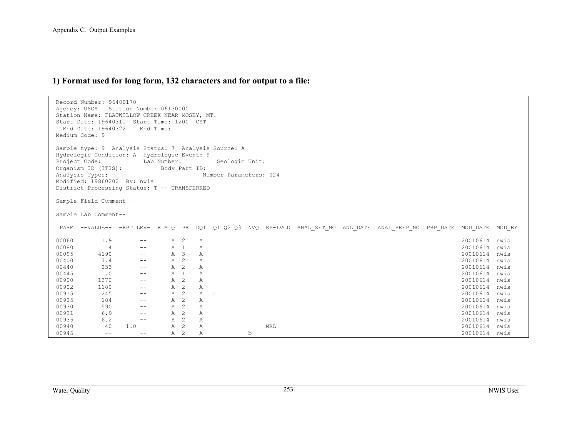### **1) Format used for long form, 132 characters and for output to a file:**

| Agency: USGS | Record Number: 96400170<br>Station Name: FLATWILLOW CREEK NEAR MOSBY, MT.<br>Start Date: 19640311 Start Time: 1200 CST<br>End Date: 19640322<br>Medium Code: 9                                                                                | Station Number 06130000 | End Time:                    |             |   |              |                |   |                        |  |                                                                                                       |          |        |
|--------------|-----------------------------------------------------------------------------------------------------------------------------------------------------------------------------------------------------------------------------------------------|-------------------------|------------------------------|-------------|---|--------------|----------------|---|------------------------|--|-------------------------------------------------------------------------------------------------------|----------|--------|
|              | Sample type: 9 Analysis Status: 7 Analysis Source: A<br>Hydrologic Condition: A Hydrologic Event: 9<br>Project Code:<br>Organism ID (ITIS):<br>Analysis Types:<br>Modified: 19860202 By: nwis<br>District Processing Status: T -- TRANSFERRED |                         | Lab Number:<br>Body Part ID: |             |   |              | Geologic Unit: |   | Number Parameters: 024 |  |                                                                                                       |          |        |
|              | Sample Field Comment--                                                                                                                                                                                                                        |                         |                              |             |   |              |                |   |                        |  |                                                                                                       |          |        |
|              | Sample Lab Comment--                                                                                                                                                                                                                          |                         |                              |             |   |              |                |   |                        |  |                                                                                                       |          |        |
|              |                                                                                                                                                                                                                                               |                         |                              |             |   |              |                |   |                        |  | PARM --VALUE-- -RPT LEV- R M Q PR DQI Q1 Q2 Q3 NVQ RP-LVCD ANAL SET NO ANL DATE ANAL PREP NO PRP DATE | MOD DATE | MOD BY |
| 00060        | 1.9                                                                                                                                                                                                                                           |                         |                              | A 2         | Α |              |                |   |                        |  |                                                                                                       | 20010614 | nwis   |
| 00080        | 4                                                                                                                                                                                                                                             |                         |                              | A 1         | Α |              |                |   |                        |  |                                                                                                       | 20010614 | nwis   |
| 00095        | 4190                                                                                                                                                                                                                                          | $\qquad \qquad -$       |                              | $A \quad 3$ | Α |              |                |   |                        |  |                                                                                                       | 20010614 | nwis   |
| 00400        | 7.4                                                                                                                                                                                                                                           | $\qquad \qquad -$       | A                            | 2           | Α |              |                |   |                        |  |                                                                                                       | 20010614 | nwis   |
| 00440        | 233                                                                                                                                                                                                                                           | $- -$                   | A                            | 2           | Α |              |                |   |                        |  |                                                                                                       | 20010614 | nwis   |
| 00445        | $\cdot$ 0                                                                                                                                                                                                                                     | $\qquad \qquad -$       |                              | $A$ 1       | Α |              |                |   |                        |  |                                                                                                       | 20010614 | nwis   |
| 00900        | 1370                                                                                                                                                                                                                                          | $\qquad \qquad -$       | Α                            | 2           | Α |              |                |   |                        |  |                                                                                                       | 20010614 | nwis   |
| 00902        | 1180                                                                                                                                                                                                                                          | $\qquad \qquad -$       | Α                            | 2           | Α |              |                |   |                        |  |                                                                                                       | 20010614 | nwis   |
| 00915        | 245                                                                                                                                                                                                                                           | $\qquad \qquad -$       | Α                            | 2           | Α | $\mathtt{C}$ |                |   |                        |  |                                                                                                       | 20010614 | nwis   |
| 00925        | 184                                                                                                                                                                                                                                           | $\qquad \qquad -$       | $\mathbb{A}$                 | 2           | Α |              |                |   |                        |  |                                                                                                       | 20010614 | nwis   |
| 00930        | 590                                                                                                                                                                                                                                           | $\qquad \qquad -$       | A                            | 2           | Α |              |                |   |                        |  |                                                                                                       | 20010614 | nwis   |
| 00931        | 6.9                                                                                                                                                                                                                                           | $\qquad \qquad -$       | A                            | 2           | Α |              |                |   |                        |  |                                                                                                       | 20010614 | nwis   |
| 00935        | 6.2                                                                                                                                                                                                                                           | $- -$                   | A                            | 2           | Α |              |                |   |                        |  |                                                                                                       | 20010614 | nwis   |
| 00940        | 40                                                                                                                                                                                                                                            | 1.0                     | Α                            | 2           | Α |              |                |   | MRL                    |  |                                                                                                       | 20010614 | nwis   |
| 00945        | $- -$                                                                                                                                                                                                                                         | $ -$                    | Α                            | 2           | Α |              |                | b |                        |  |                                                                                                       | 20010614 | nwis   |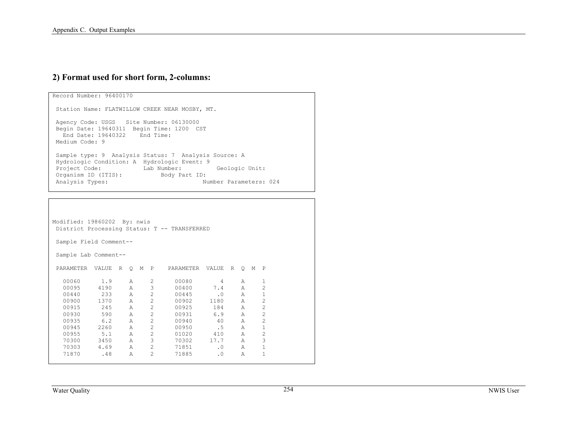#### **2) Format used for short form, 2-columns:**

```
Record Number: 96400170 
 Station Name: FLATWILLOW CREEK NEAR MOSBY, MT. 
 Agency Code: USGS Site Number: 06130000 
 Begin Date: 19640311 Begin Time: 1200 CST 
 End Date: 19640322 End Time:  Medium Code: 9  Sample type: 9 Analysis Status: 7 Analysis Source: A 
 Hydrologic Condition: A Hydrologic Event: 9 
Project Code: Lab Number: Geologic Unit:
 Organism ID (ITIS): Body Part ID: 
 Analysis Types: Number Parameters: 024
```

```
Modified: 19860202 By: nwis 
 District Processing Status: T -- TRANSFERRED 
 Sample Field Comment-- 
 Sample Lab Comment-- 
 PARAMETER VALUE R Q M P PARAMETER VALUE R Q M P 
  00060 1.9 A 2 00080 4 A 1 \overline{2} 00095 4190 A 3 00400 7.4 A 2  00440 233 A 2 00445 .0 A 1  00900 1370 A 2 00902 1180 A 2  00915 245 A 2 00925 184 A 2  00930 590 A 2 00931 6.9 A 2 2
 00935 6.2 A 2 00940 40 A 2  00945 2260 A 2 00950 .5 A 1 2
  00955 5.1 A 2 01020 410 A 2 \overline{3} 70300 3450 A 3 70302 17.7 A 3  70303 4.69 A 2 71851 .0 A 1 \overline{1} 71870 .48 A 2 71885 .0 A 1
```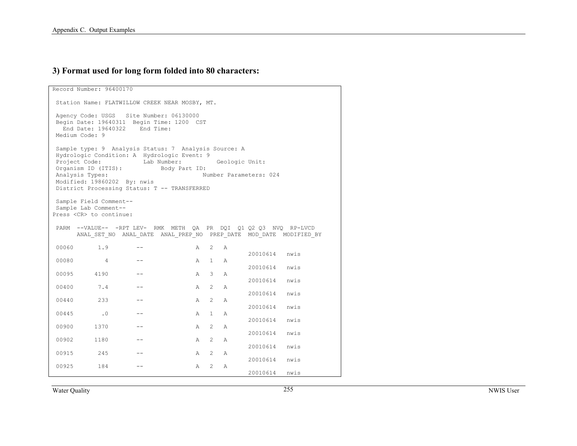#### **3) Format used for long form folded into 80 characters:**

Record Number: 96400170 Station Name: FLATWILLOW CREEK NEAR MOSBY, MT. Agency Code: USGS Site Number: 06130000 Begin Date: 19640311 Begin Time: 1200 CST End Date: 19640322 End Time: Medium Code: 9 Sample type: 9 Analysis Status: 7 Analysis Source: A Hydrologic Condition: A Hydrologic Event: 9 Project Code: Lab Number: Geologic Unit: Organism ID (ITIS): Body Part ID: Analysis Types: Number Parameters: 024 Modified: 19860202 By: nwis District Processing Status: T -- TRANSFERRED Sample Field Comment-- Sample Lab Comment-- Press <CR> to continue: PARM --VALUE-- -RPT LEV- RMK METH QA PR DQI Q1 Q2 Q3 NVQ RP-LVCD ANAL\_SET\_NO ANAL\_DATE ANAL\_PREP\_NO PREP\_DATE MOD\_DATE MODIFIED\_BY 00060 1.9 -- A 2 A 20010614 nwis 00080 4 -- A 1 A 20010614 nwis 00095 4190 -- A 3 A 20010614 nwis 00400 7.4 -- A 2 A 20010614 nwis 00440 233 -- A 2 A 20010614 nwis 00445 .0 -- A 1 A 20010614 nwis 00900 1370 -- A 2 A 20010614 nwis 00902 1180 -- A 2 A 20010614 nwis 00915 245 -- A 2 A 20010614 nwis 00925 184 -- A 2 A 20010614 nwis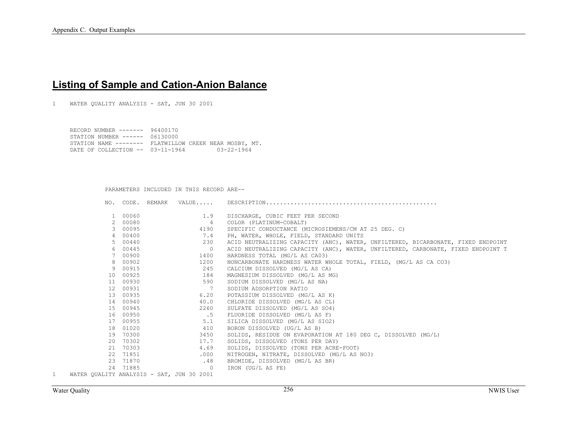## **Listing of Sample and Cation-Anion Balance**

1 WATER QUALITY ANALYSIS - SAT, JUN 30 2001

 RECORD NUMBER ------- 96400170 STATION NUMBER ------ 06130000 STATION NAME -------- FLATWILLOW CREEK NEAR MOSBY, MT. DATE OF COLLECTION -- 03-11-1964 03-22-1964

PARAMETERS INCLUDED IN THIS RECORD ARE--

|                |                                           |          | NO. CODE. REMARK |                |                                                                                  |
|----------------|-------------------------------------------|----------|------------------|----------------|----------------------------------------------------------------------------------|
|                |                                           |          |                  |                |                                                                                  |
|                | $\mathbf{1}$                              | 00060    |                  | 1.9            | DISCHARGE, CUBIC FEET PER SECOND                                                 |
|                | $2^{\circ}$                               | 00080    |                  | 4              | COLOR (PLATINUM-COBALT)                                                          |
|                | 3                                         | 00095    |                  | 4190           | SPECIFIC CONDUCTANCE (MICROSIEMENS/CM AT 25 DEG. C)                              |
|                | 4                                         | 00400    |                  | 7.4            | PH, WATER, WHOLE, FIELD, STANDARD UNITS                                          |
|                | 5.                                        | 00440    |                  | 230            | ACID NEUTRALIZING CAPACITY (ANC), WATER, UNFILTERED, BICARBONATE, FIXED ENDPOINT |
|                | 6                                         | 00445    |                  | $\overline{0}$ | ACID NEUTRALIZING CAPACITY (ANC), WATER, UNFILTERED, CARBONATE, FIXED ENDPOINT T |
|                | $7^{\circ}$                               | 00900    |                  | 1400           | HARDNESS TOTAL (MG/L AS CA03)                                                    |
|                | 8                                         | 00902    |                  | 1200           | NONCARBONATE HARDNESS WATER WHOLE TOTAL, FIELD, (MG/L AS CA CO3)                 |
|                | 9                                         | 00915    |                  | 245            | CALCIUM DISSOLVED (MG/L AS CA)                                                   |
|                | 10 <sup>1</sup>                           | 00925    |                  | 184            | MAGNESIUM DISSOLVED (MG/L AS MG)                                                 |
|                | 11                                        | 00930    |                  | 590            | SODIUM DISSOLVED (MG/L AS NA)                                                    |
|                | 12                                        | 00931    |                  | $\overline{7}$ | SODIUM ADSORPTION RATIO                                                          |
|                | 13                                        | 00935    |                  | 6.20           | POTASSIUM DISSOLVED (MG/L AS K)                                                  |
|                | 14                                        | 00940    |                  | 40.0           | CHLORIDE DISSOLVED (MG/L AS CL)                                                  |
|                | 15                                        | 00945    |                  | 2260           | SULFATE DISSOLVED (MG/L AS SO4)                                                  |
|                | 16                                        | 00950    |                  | $\overline{5}$ | FLUORIDE DISSOLVED (MG/L AS F)                                                   |
|                | 17                                        | 00955    |                  | 5.1            | SILICA DISSOLVED (MG/L AS SIO2)                                                  |
|                | 18                                        | 01020    |                  | 410            | BORON DISSOLVED (UG/L AS B)                                                      |
|                | 19                                        | 70300    |                  | 3450           | SOLIDS, RESIDUE ON EVAPORATION AT 180 DEG C, DISSOLVED (MG/L)                    |
|                | 20                                        | 70302    |                  | 17.7           | SOLIDS, DISSOLVED (TONS PER DAY)                                                 |
|                | 21                                        | 70303    |                  | 4.69           | SOLIDS, DISSOLVED (TONS PER ACRE-FOOT)                                           |
|                |                                           | 22 71851 |                  | .000           | NITROGEN, NITRATE, DISSOLVED (MG/L AS NO3)                                       |
|                |                                           | 23 71870 |                  | .48            | BROMIDE, DISSOLVED (MG/L AS BR)                                                  |
|                |                                           | 24 71885 |                  | $\bigcirc$     | IRON (UG/L AS FE)                                                                |
| $\overline{1}$ | WATER OUALITY ANALYSIS - SAT, JUN 30 2001 |          |                  |                |                                                                                  |

Water Quality NWIS User 256 NWIS User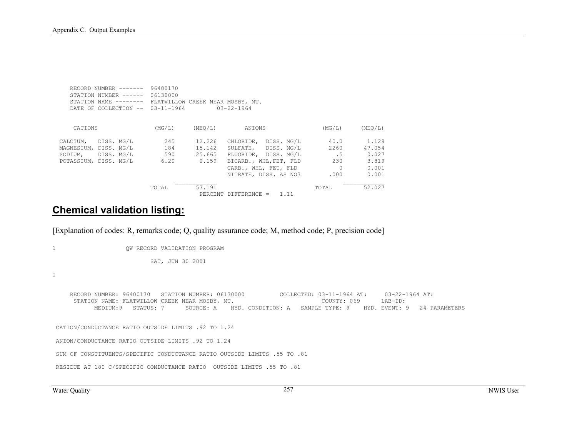| RECORD NUMBER $---$    | 96400170         |         |                                  |          |         |
|------------------------|------------------|---------|----------------------------------|----------|---------|
| STATION NUMBER ------  | 06130000         |         |                                  |          |         |
| STATION NAME --------  |                  |         | FLATWILLOW CREEK NEAR MOSBY, MT. |          |         |
| DATE OF COLLECTION --  | $03 - 11 - 1964$ |         | $03 - 22 - 1964$                 |          |         |
|                        |                  |         |                                  |          |         |
| CATIONS                | (MG/L)           | (MEO/L) | ANIONS                           | (MG/L)   | (MEO/L) |
| DISS. MG/L<br>CALCIUM, | 245              | 12.226  | DISS. MG/L<br>CHLORIDE.          | 40.0     | 1.129   |
| MAGNESIUM, DISS. MG/L  | 184              | 15.142  | SULFATE, DISS. MG/L              | 2260     | 47.054  |
| SODIUM, DISS. MG/L     | 590              | 25.665  | FLUORIDE, DISS. MG/L             | . 5      | 0.027   |
| POTASSIUM, DISS. MG/L  | 6.20             | 0.159   | BICARB., WHL, FET, FLD           | 230      | 3.819   |
|                        |                  |         | CARB., WHL, FET, FLD             | $\Omega$ | 0.001   |
|                        |                  |         | NITRATE, DISS. AS NO3            | .000     | 0.001   |
|                        | TOTAL            | 53.191  |                                  | TOTAL    | 52.027  |
|                        |                  |         | $PERCENT$ DIFFERENCE =<br>1.11   |          |         |

### **Chemical validation listing:**

[Explanation of codes: R, remarks code; Q, quality assurance code; M, method code; P, precision code]

1 QW RECORD VALIDATION PROGRAM

SAT, JUN 30 2001

1

 RECORD NUMBER: 96400170 STATION NUMBER: 06130000 COLLECTED: 03-11-1964 AT: 03-22-1964 AT: STATION NAME: FLATWILLOW CREEK NEAR MOSBY, MT. COUNTY: 069 LAB-ID: MEDIUM:9 STATUS: 7 SOURCE: A HYD. CONDITION: A SAMPLE TYPE: 9 HYD. EVENT: 9 24 PARAMETERS CATION/CONDUCTANCE RATIO OUTSIDE LIMITS .92 TO 1.24 ANION/CONDUCTANCE RATIO OUTSIDE LIMITS .92 TO 1.24 SUM OF CONSTITUENTS/SPECIFIC CONDUCTANCE RATIO OUTSIDE LIMITS .55 TO .81 RESIDUE AT 180 C/SPECIFIC CONDUCTANCE RATIO OUTSIDE LIMITS .55 TO .81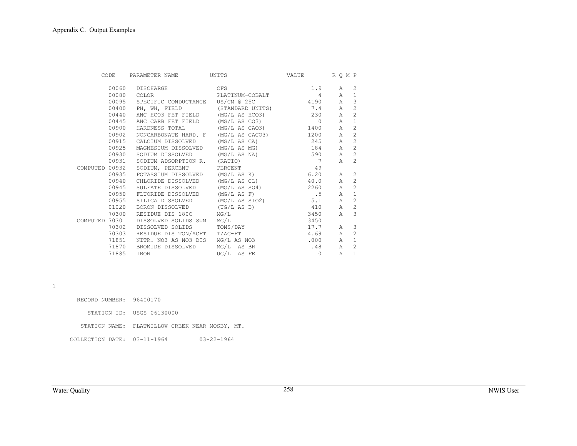| CODE           |       | PARAMETER NAME                     | UNITS                | VALUE          | R O M P      |                |
|----------------|-------|------------------------------------|----------------------|----------------|--------------|----------------|
|                | 00060 | DISCHARGE                          | <b>CFS</b>           | 1.9            | A            | 2              |
|                | 00080 | COLOR                              | PLATINUM-COBALT      | 4              | A            | $\mathbf{1}$   |
|                | 00095 | SPECIFIC CONDUCTANCE US/CM @ 25C   |                      | 4190           | $\mathbb{A}$ | 3              |
|                | 00400 | PH, WH, FIELD (STANDARD UNITS) 7.4 |                      |                | $\mathbb A$  | $\mathbf{2}$   |
|                | 00440 | ANC HCO3 FET FIELD                 | $(MG/L AS HCO3)$ 230 |                | $\mathbb{A}$ | 2              |
|                | 00445 | ANC CARB FET FIELD                 | (MG/L AS CO3)        | $\overline{0}$ | $\mathbb{A}$ | $\mathbf{1}$   |
|                | 00900 | HARDNESS TOTAL                     | (MG/L AS CAO3)       | 1400           | Α            | 2              |
|                | 00902 | NONCARBONATE HARD. F               | (MG/L AS CACO3)      | 1200           | Α            | 2              |
|                | 00915 | CALCIUM DISSOLVED                  | (MG/L AS CA)         | 245            | $\mathbb{A}$ | 2              |
|                | 00925 | MAGNESIUM DISSOLVED                | (MG/L AS MG)         | 184            | Α            | 2              |
|                | 00930 | SODIUM DISSOLVED                   | (MG/L AS NA)         | 590            | $\mathbb{A}$ | $\mathfrak{D}$ |
|                | 00931 | SODIUM ADSORPTION R. (RATIO)       |                      | $\overline{7}$ | Α            | 2              |
| COMPUTED 00932 |       | SODIUM, PERCENT                    | PERCENT              | 49             |              |                |
|                | 00935 | POTASSIUM DISSOLVED                | (MG/L AS K)          | 6.20           | A            | 2              |
|                | 00940 | CHLORIDE DISSOLVED                 | (MG/L AS CL)         | 40.0           | $\mathbb{A}$ | 2              |
|                | 00945 | SULFATE DISSOLVED                  | (MG/L AS SO4)        | 2260           | Α            | 2              |
|                | 00950 | FLUORIDE DISSOLVED                 | (MG/L AS F)          | $\cdot$ 5      | $\mathbb{A}$ | $\mathbf{1}$   |
|                | 00955 | SILICA DISSOLVED                   | (MG/L AS SIO2)       | 5.1            | $\mathbb{A}$ | 2              |
|                | 01020 | BORON DISSOLVED                    | (UG/L AS B)          | 410            | $\mathbb{A}$ | 2              |
|                | 70300 | RESIDUE DIS 180C                   | MG/L                 | 3450           | Α            | 3              |
| COMPUTED 70301 |       | DISSOLVED SOLIDS SUM               | MG/L                 | 3450           |              |                |
|                | 70302 | DISSOLVED SOLIDS                   | TONS/DAY             | 17.7           | A            | 3              |
|                | 70303 | RESIDUE DIS TON/ACFT T/AC-FT       |                      | 4.69           | $\mathbb{A}$ | $\mathfrak{D}$ |
|                | 71851 | NITR. NO3 AS NO3 DIS               | MG/L AS NO3          | .000           | Α            | $\mathbf{1}$   |
|                | 71870 | BROMIDE DISSOLVED                  | MG/L AS BR           | .48            | $\mathbb A$  | 2              |
|                | 71885 | IRON                               | UG/L AS FE           | $\circ$        | Α            | $\mathbf{1}$   |

1

| RECORD NUMBER: 96400170     |                                                |
|-----------------------------|------------------------------------------------|
|                             | STATION ID: USGS 06130000                      |
|                             | STATION NAME: FLATWILLOW CREEK NEAR MOSBY, MT. |
| COLLECTION DATE: 03-11-1964 | $03 - 22 - 1964$                               |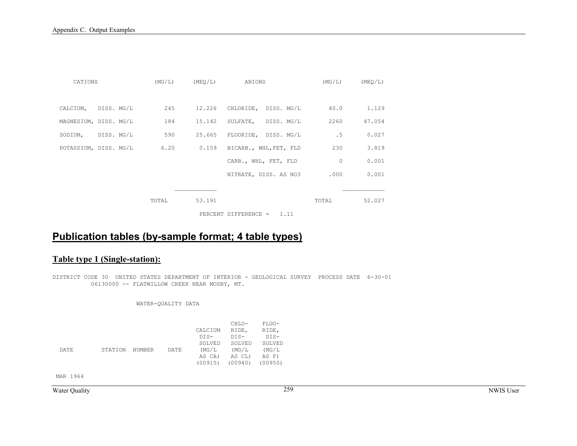| CATIONS               |                            | $(MG/L)$ $(MEO/L)$ | ANIONS                      | (MG/L)  | (MEO/L) |
|-----------------------|----------------------------|--------------------|-----------------------------|---------|---------|
|                       |                            |                    |                             |         |         |
| CALCIUM, DISS. MG/L   | 245                        |                    | 12.226 CHLORIDE, DISS. MG/L | 40.0    | 1.129   |
| MAGNESIUM, DISS. MG/L | 184                        |                    | 15.142 SULFATE, DISS. MG/L  | 2260    | 47.054  |
| SODIUM, DISS. MG/L    | 590                        |                    | 25.665 FLUORIDE, DISS. MG/L | .5      | 0.027   |
|                       | POTASSIUM, DISS. MG/L 6.20 | 0.159              | BICARB., WHL, FET, FLD      | 230     | 3.819   |
|                       |                            |                    | CARB., WHL, FET, FLD        | $\circ$ | 0.001   |
|                       |                            |                    | NITRATE, DISS. AS NO3       | .000    | 0.001   |
|                       |                            |                    |                             |         |         |
|                       | TOTAL                      | 53.191             |                             | TOTAL   | 52.027  |
|                       |                            |                    | PERCENT DIFFERENCE = $1.11$ |         |         |

# **Publication tables (by-sample format; 4 table types)**

### **Table type 1 (Single-station):**

DISTRICT CODE 30 UNITED STATES DEPARTMENT OF INTERIOR - GEOLOGICAL SURVEY PROCESS DATE 6-30-01 06130000 -- FLATWILLOW CREEK NEAR MOSBY, MT.

#### WATER-QUALITY DATA

|      |         |               |      |         | CHLO-   | FLUO-   |
|------|---------|---------------|------|---------|---------|---------|
|      |         |               |      | CALCIUM | RIDE,   | RIDE,   |
|      |         |               |      | DTS-    | $DTS-$  | $DTS-$  |
|      |         |               |      | SOLVED  | SOLVED  | SOLVED  |
| DATE | STATION | <b>NUMBER</b> | DATE | (MG/L   | (MG/L   | (MG/L   |
|      |         |               |      | AS CA)  | AS CL)  | AS F)   |
|      |         |               |      | (00915) | (00940) | (00950) |

MAR 1964

Water Quality NWIS User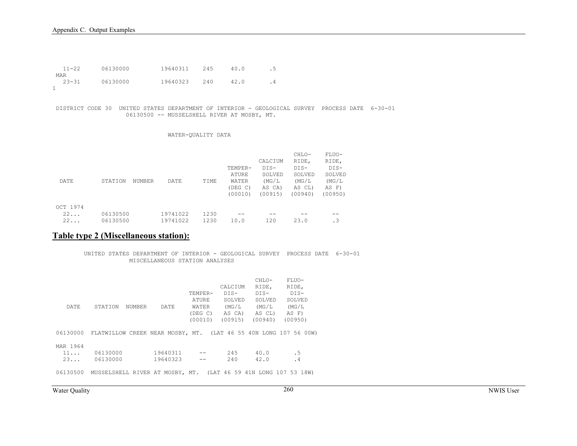| $11 - 22$ | 06130000 | 19640311 | 245 | 40.0 | . 5 |
|-----------|----------|----------|-----|------|-----|
| MAR       |          |          |     |      |     |
| $23 - 31$ | 06130000 | 19640323 | 240 | 42.0 |     |
|           |          |          |     |      |     |

 DISTRICT CODE 30 UNITED STATES DEPARTMENT OF INTERIOR - GEOLOGICAL SURVEY PROCESS DATE 6-30-01 06130500 -- MUSSELSHELL RIVER AT MOSBY, MT.

#### WATER-QUALITY DATA

|          |          |        |          |      |         |         | CHLO-   | FLUO-   |
|----------|----------|--------|----------|------|---------|---------|---------|---------|
|          |          |        |          |      |         | CALCIUM | RIDE,   | RIDE,   |
|          |          |        |          |      | TEMPER- | $DIS-$  | $DIS-$  | $DIS-$  |
|          |          |        |          |      | ATURE   | SOLVED  | SOLVED  | SOLVED  |
| DATE     | STATION  | NUMBER | DATE     | TIME | WATER   | (MG/L)  | (MG/L)  | (MG/L)  |
|          |          |        |          |      | (DEG C) | AS CA)  | AS CL)  | AS F)   |
|          |          |        |          |      | (00010) | (00915) | (00940) | (00950) |
|          |          |        |          |      |         |         |         |         |
| OCT 1974 |          |        |          |      |         |         |         |         |
| 22       | 06130500 |        | 19741022 | 1230 |         |         |         |         |
| 22       | 06130500 |        | 19741022 | 1230 | 10.0    | 120     | 23.0    | . 3     |

### **Table type 2 (Miscellaneous station):**

 UNITED STATES DEPARTMENT OF INTERIOR - GEOLOGICAL SURVEY PROCESS DATE 6-30-01 MISCELLANEOUS STATION ANALYSES

| DATE.                | STATION<br>NUMBER                                                         | DATE                 | TEMPER-<br>ATURE<br>WATER<br>(DEG C)<br>(00010) | CALCIUM<br>DTS-<br>SOLVED<br>(MG/L<br>AS CA)<br>(00915) | CHLO-<br>RIDE,<br>DTS-<br>SOLVED<br>(MG/L<br>AS CL)<br>(00940) | FLUO-<br>RIDE,<br>DTS-<br>SOLVED<br>(MG/L<br>AS F)<br>(00950) |
|----------------------|---------------------------------------------------------------------------|----------------------|-------------------------------------------------|---------------------------------------------------------|----------------------------------------------------------------|---------------------------------------------------------------|
|                      | 06130000 FLATWILLOW CREEK NEAR MOSBY, MT. (LAT 46 55 40N LONG 107 56 00W) |                      |                                                 |                                                         |                                                                |                                                               |
| MAR 1964<br>11<br>23 | 06130000<br>06130000                                                      | 19640311<br>19640323 |                                                 | 245<br>2.40                                             | 40.0<br>42.0                                                   | . 5<br>. 4                                                    |
| 06130500             | MUSSELSHELL RIVER AT MOSBY, MT. (LAT 46 59 41N LONG 107 53 18W)           |                      |                                                 |                                                         |                                                                |                                                               |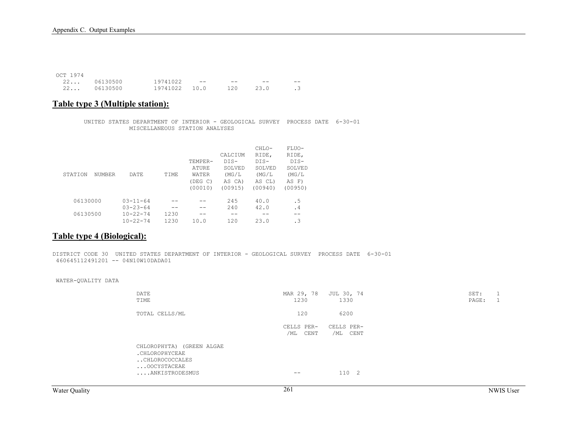| OCT 1974 |             |               |       |       |       |           |
|----------|-------------|---------------|-------|-------|-------|-----------|
|          | 22 06130500 | 19741022      | $- -$ | $- -$ | $- -$ | --        |
|          | 22 06130500 | 19741022 10.0 |       | 120   | 23.0  | $\cdot$ 3 |

### **Table type 3 (Multiple station):**

 UNITED STATES DEPARTMENT OF INTERIOR - GEOLOGICAL SURVEY PROCESS DATE 6-30-01 MISCELLANEOUS STATION ANALYSES

|          |                       |      |              |         | CHLO-   | FLUO-     |
|----------|-----------------------|------|--------------|---------|---------|-----------|
|          |                       |      |              | CALCIUM | RIDE,   | RIDE,     |
|          |                       |      | TEMPER-      | $DTS-$  | $DIS-$  | DIS-      |
|          |                       |      | <b>ATURE</b> | SOLVED  | SOLVED  | SOLVED    |
| STATION  | DATE<br><b>NUMBER</b> | TIME | WATER        | (MG/L)  | (MG/L)  | (MG/L)    |
|          |                       |      | (DEG C)      | AS CA)  | AS CL)  | AS F)     |
|          |                       |      | (00010)      | (00915) | (00940) | (00950)   |
|          |                       |      |              |         |         |           |
| 06130000 | $0.3 - 11 - 64$       |      |              | 245     | 40.0    | . 5       |
|          | $03 - 23 - 64$        |      |              | 2.40    | 42.0    | $\cdot$ 4 |
| 06130500 | $10 - 22 - 74$        | 1230 |              |         |         |           |
|          | $10 - 22 - 74$        | 1230 | 10.0         | 120     | 23.0    | $\cdot$ 3 |

### **Table type 4 (Biological):**

DISTRICT CODE 30 UNITED STATES DEPARTMENT OF INTERIOR - GEOLOGICAL SURVEY PROCESS DATE 6-30-01 460645112491201 -- 04N10W10DADA01

#### WATER-QUALITY DATA

| DATE<br>TIME                                                                                   | MAR 29, 78<br>1230     | JUL 30, 74<br>1330     | SET:<br>PAGE: |  |
|------------------------------------------------------------------------------------------------|------------------------|------------------------|---------------|--|
| TOTAL CELLS/ML                                                                                 | 120                    | 6200                   |               |  |
|                                                                                                | CELLS PER-<br>/ML CENT | CELLS PER-<br>/ML CENT |               |  |
| CHLOROPHYTA) (GREEN ALGAE<br>.CHLOROPHYCEAE<br>CHLOROCOCCALES<br>OOCYSTACEAE<br>ANKISTRODESMUS | $- -$                  | 1102                   |               |  |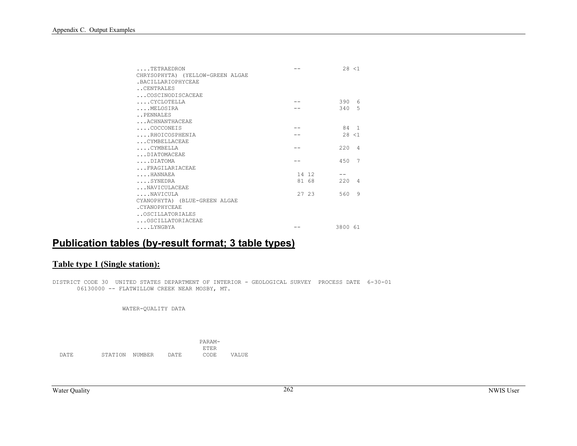| TETRAEDRON                       |       | 28 < 1     |
|----------------------------------|-------|------------|
| CHRYSOPHYTA) (YELLOW-GREEN ALGAE |       |            |
| . BACTLLARTOPHYCEAE              |       |            |
| CENTRALES                        |       |            |
| COSCINODISCACEAE                 |       |            |
| CYCLOTELLA                       |       | 390 6      |
| MELOSTRA                         |       | 340 5      |
| PENNALES                         |       |            |
| ACHNANTHACEAE                    |       |            |
| $\ldots$ . COCCONEIS             |       | 84 1       |
| RHOICOSPHENIA                    |       | 28 < 1     |
| CYMBELLACEAE                     |       |            |
| CYMBELLA                         |       | $220 \t 4$ |
| DIATOMACEAE                      |       |            |
| DIATOMA                          |       | 450 7      |
| FRAGILARIACEAE                   |       |            |
| HANNAEA                          | 14 12 |            |
| $\ldots$ SYNEDRA                 | 81 68 | 2204       |
| NAVICULACEAE                     |       |            |
| NAVICULA                         | 27 23 | 560 9      |
| CYANOPHYTA) (BLUE-GREEN ALGAE    |       |            |
| .CYANOPHYCEAE                    |       |            |
| OSCILLATORIALES                  |       |            |
| OSCILLATORIACEAE                 |       |            |
| LYNGBYA                          |       | 3800 61    |

# **Publication tables (by-result format; 3 table types)**

### **Table type 1 (Single station):**

DISTRICT CODE 30 UNITED STATES DEPARTMENT OF INTERIOR - GEOLOGICAL SURVEY PROCESS DATE 6-30-01 06130000 -- FLATWILLOW CREEK NEAR MOSBY, MT.

WATER-QUALITY DATA

|       |         |        |       | PARAM-      |       |
|-------|---------|--------|-------|-------------|-------|
|       |         |        |       | <b>RTRR</b> |       |
| DA TE | STATION | NUMBER | DATE. | CODE        | VALUE |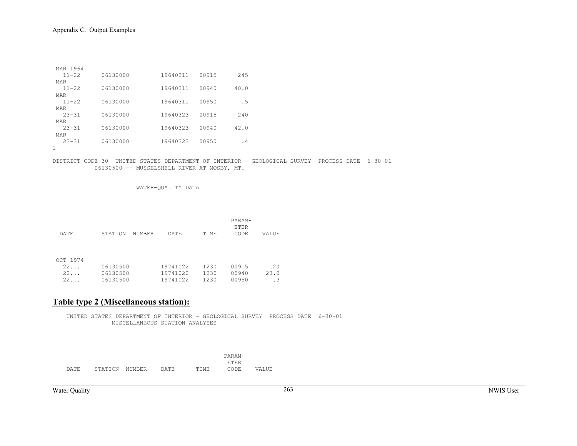| MAR 1964<br>$11 - 22$ | 06130000 | 19640311 | 00915 | 245  |
|-----------------------|----------|----------|-------|------|
| MAR<br>$11 - 22$      | 06130000 | 19640311 | 00940 | 40.0 |
| MAR                   |          |          |       |      |
| $11 - 22$             | 06130000 | 19640311 | 00950 | . 5  |
| MAR                   |          |          |       |      |
| $23 - 31$             | 06130000 | 19640323 | 00915 | 240  |
| MAR                   |          |          |       |      |
| $23 - 31$             | 06130000 | 19640323 | 00940 | 42.0 |
| MAR                   |          |          |       |      |
| $23 - 31$             | 06130000 | 19640323 | 00950 | . 4  |
|                       |          |          |       |      |

DISTRICT CODE 30 UNITED STATES DEPARTMENT OF INTERIOR - GEOLOGICAL SURVEY PROCESS DATE 6-30-01 06130500 -- MUSSELSHELL RIVER AT MOSBY, MT.

WATER-QUALITY DATA

|          |          |        |          |      | PARAM-<br>ETER |       |
|----------|----------|--------|----------|------|----------------|-------|
| DATE     | STATION  | NUMBER | DATE     | TIME | CODE           | VALUE |
|          |          |        |          |      |                |       |
| OCT 1974 |          |        |          |      |                |       |
| 22       | 06130500 |        | 19741022 | 1230 | 00915          | 120   |
| 22       | 06130500 |        | 19741022 | 1230 | 00940          | 23.0  |
| 22       | 06130500 |        | 19741022 | 1230 | 00950          | . 3   |

#### **Table type 2 (Miscellaneous station):**

 UNITED STATES DEPARTMENT OF INTERIOR - GEOLOGICAL SURVEY PROCESS DATE 6-30-01 MISCELLANEOUS STATION ANALYSES

|          |              |                                      |            |            | Δ |  |
|----------|--------------|--------------------------------------|------------|------------|---|--|
|          |              |                                      |            |            |   |  |
| .יום ברי | ١N<br>.<br>◡ | NH.<br><b>∶IM</b> R R' D<br><br>---- | ነ እ ጥ<br>. | ME<br>---- |   |  |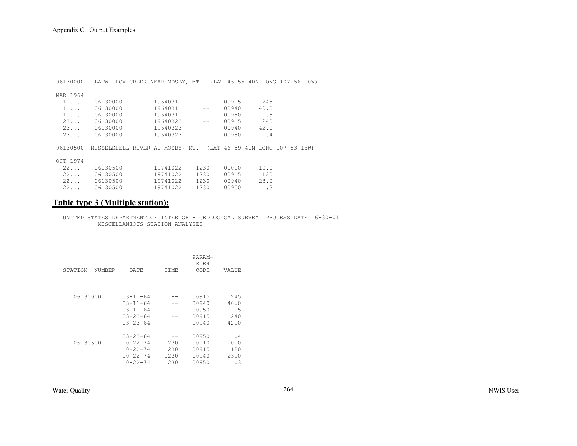| 06130000    | FLATWILLOW CREEK NEAR MOSBY, MT. (LAT 46 55 40N LONG 107 56 00W) |  |          |      |                   |       |  |           |  |  |
|-------------|------------------------------------------------------------------|--|----------|------|-------------------|-------|--|-----------|--|--|
|             |                                                                  |  |          |      |                   |       |  |           |  |  |
| MAR 1964    |                                                                  |  |          |      |                   |       |  |           |  |  |
| $11 \ldots$ | 06130000                                                         |  | 19640311 |      | $\qquad \qquad -$ | 00915 |  | 245       |  |  |
| $11 \ldots$ | 06130000                                                         |  | 19640311 |      | $ -$              | 00940 |  | 40.0      |  |  |
| $11 \ldots$ | 06130000                                                         |  | 19640311 |      | $ -$              | 00950 |  | . 5       |  |  |
| 23          | 06130000                                                         |  | 19640323 |      | $ -$              | 00915 |  | 240       |  |  |
| 23          | 06130000                                                         |  | 19640323 |      | $ -$              | 00940 |  | 42.0      |  |  |
| 23          | 06130000                                                         |  | 19640323 |      | $\qquad \qquad -$ | 00950 |  | $\cdot$ 4 |  |  |
|             |                                                                  |  |          |      |                   |       |  |           |  |  |
| 06130500    | MUSSELSHELL RIVER AT MOSBY, MT. (LAT 46 59 41N LONG 107 53 18W)  |  |          |      |                   |       |  |           |  |  |
|             |                                                                  |  |          |      |                   |       |  |           |  |  |
| OCT 1974    |                                                                  |  |          |      |                   |       |  |           |  |  |
| $22 \ldots$ | 06130500                                                         |  | 19741022 | 1230 |                   | 00010 |  | 10.0      |  |  |
| $22 \ldots$ | 06130500                                                         |  | 19741022 | 1230 |                   | 00915 |  | 120       |  |  |
| $22 \ldots$ | 06130500                                                         |  | 19741022 | 1230 |                   | 00940 |  | 23.0      |  |  |
| 22          | 06130500                                                         |  | 19741022 | 1230 |                   | 00950 |  | $\cdot$ 3 |  |  |

### **Table type 3 (Multiple station):**

 UNITED STATES DEPARTMENT OF INTERIOR - GEOLOGICAL SURVEY PROCESS DATE 6-30-01 MISCELLANEOUS STATION ANALYSES

| STATION<br>NUMBER | DATE.                                                                                   | TIME                         | PARAM-<br><b>ETER</b><br>CODE             | VALUE                              |
|-------------------|-----------------------------------------------------------------------------------------|------------------------------|-------------------------------------------|------------------------------------|
| 06130000          | $03 - 11 - 64$<br>$0.3 - 11 - 64$<br>$03 - 11 - 64$<br>$03 - 23 - 64$<br>$03 - 23 - 64$ |                              | 00915<br>00940<br>00950<br>00915<br>00940 | 245<br>40.0<br>. 5<br>2.40<br>42.0 |
| 06130500          | $03 - 23 - 64$<br>$10 - 22 - 74$<br>$10 - 22 - 74$<br>$10 - 22 - 74$<br>$10 - 22 - 74$  | 1230<br>1230<br>1230<br>1230 | 00950<br>00010<br>00915<br>00940<br>00950 | . 4<br>10.0<br>120<br>23.0<br>. 3  |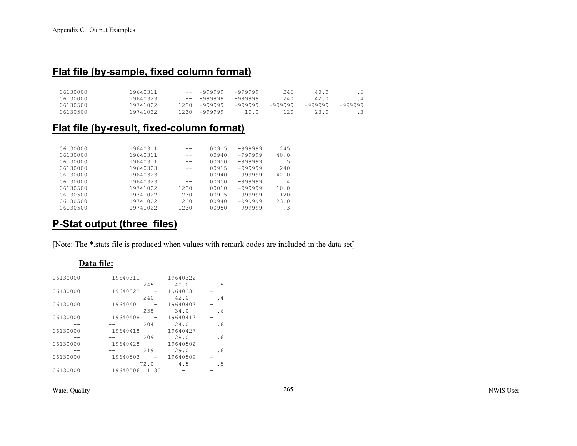## **Flat file (by-sample, fixed column format)**

| 06130000 | 19640311 | $-- 9999999 - 999999$  |      | 245     | 40.0    | . 5       |
|----------|----------|------------------------|------|---------|---------|-----------|
| 06130000 | 19640323 | $-- 9999999 - 999999$  |      | 240     | 42.0    | $\cdot$ 4 |
| 06130500 | 19741022 | $1230 -999999 -999999$ |      | -999999 | -999999 | -999999   |
| 06130500 | 19741022 | $1230 - 999999$        | 10.0 | 120     | 23.0    | - 35      |

## **Flat file (by-result, fixed-column format)**

| 06130000 | 19640311 | --   | 00915 | -999999 | 245  |
|----------|----------|------|-------|---------|------|
| 06130000 | 19640311 | --   | 00940 | -999999 | 40.0 |
| 06130000 | 19640311 |      | 00950 | -999999 | . 5  |
| 06130000 | 19640323 | --   | 00915 | -999999 | 2.40 |
| 06130000 | 19640323 |      | 00940 | -999999 | 42.0 |
| 06130000 | 19640323 | --   | 00950 | -999999 | . 4  |
| 06130500 | 19741022 | 1230 | 00010 | -999999 | 10.0 |
| 06130500 | 19741022 | 1230 | 00915 | -999999 | 120  |
| 06130500 | 19741022 | 1230 | 00940 | -999999 | 23.0 |
| 06130500 | 19741022 | 1230 | 00950 | -999999 |      |

## **P-Stat output (three files)**

[Note: The \*.stats file is produced when values with remark codes are included in the data set]

#### **Data file:**

| 06130000 | 19640311 |      | 19640322 |     |
|----------|----------|------|----------|-----|
|          |          | 245  | 40.0     | . 5 |
| 06130000 | 19640323 |      | 19640331 |     |
|          |          | 240  | 42.0     | .4  |
| 06130000 | 19640401 |      | 19640407 |     |
|          |          | 238  | 34.0     | . 6 |
| 06130000 | 19640408 |      | 19640417 |     |
|          |          | 204  | 24.0     | . 6 |
| 06130000 | 19640418 |      | 19640427 |     |
|          |          | 209  | 28.0     | . 6 |
| 06130000 | 19640428 |      | 19640502 |     |
|          |          | 219  | 29.0     | . 6 |
| 06130000 | 19640503 |      | 19640509 |     |
|          |          | 72.0 | 4.5      | . 5 |
| 06130000 | 19640506 | 1130 |          |     |
|          |          |      |          |     |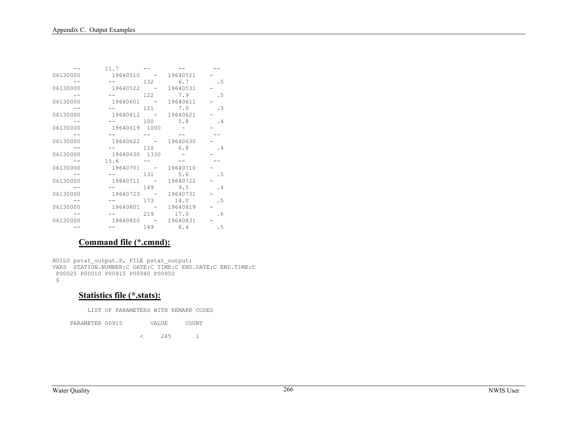|          | $11.7 -$                      |          |           |
|----------|-------------------------------|----------|-----------|
| 06130000 | 19640510 -                    | 19640521 |           |
|          | $--$ 132                      | 6.7      | $\cdot$ 5 |
| 06130000 | 19640522 - 19640531           |          |           |
|          | <b>See Strategies</b>         | 122 7.9  | .5        |
| 06130000 | 19640601 - 19640611           |          |           |
|          | $--$ 121 7.0                  |          | $\cdot$ 3 |
| 06130000 | 19640612 - 19640621           |          |           |
|          | $--$ 100                      | 5.8      | .4        |
| 06130000 | 19640619 1000                 |          |           |
|          | the company of the company of |          |           |
| 06130000 | 19640622 - 19640630           |          |           |
|          | $--$ 110                      | 6.8      | . 4       |
| 06130000 | 19640630 1330                 |          |           |
|          | $15.6 - -$                    |          |           |
| 06130000 | 19640701 - 19640710           |          |           |
|          | $--$ 131 5.6                  |          | . 5       |
| 06130000 | 19640711 - 19640722           |          |           |
|          | $-- 149$                      | 9.5      | .4        |
| 06130000 | 19640723 - 19640731           |          |           |
|          | $--$ 173                      | 14.0     | . 5       |
| 06130000 | 19640801 - 19640819           |          |           |
|          |                               | 219 17.0 | .6        |
| 06130000 | 19640820 - 19640831           |          |           |
|          | $--$ 149                      | 8.4      | .5        |

### **Command file (\*.cmnd):**

BUILD pstat output.P, FILE pstat output; VARS STATION.NUMBER:C DATE:C TIME:C END.DATE:C END.TIME:C P00025 P00010 P00915 P00940 P00950  $\hat{\mathcal{Z}}$ 

#### **Statistics file (\*.stats):**

LIST OF PARAMETERS WITH REMARK CODES

PARAMETER 00915 VALUE  $_{\tt COUNT}$ 

 $\langle$  245 1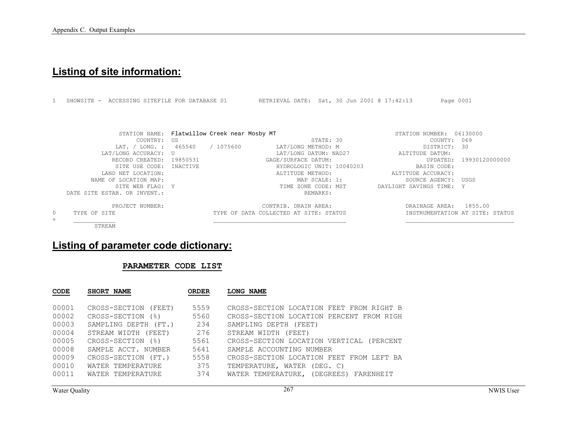# **Listing of site information:**

|         |                              | ACCESSING SITEFILE FOR DATABASE 01           | RETRIEVAL DATE: Sat, 30 Jun 2001 @ 17:42:13 | Page 0001                       |
|---------|------------------------------|----------------------------------------------|---------------------------------------------|---------------------------------|
|         |                              |                                              |                                             |                                 |
|         |                              | STATION NAME: Flatwillow Creek near Mosby MT |                                             | STATION NUMBER: 06130000        |
|         | COUNTRY:                     | US                                           | STATE: 30                                   | 069<br>COUNTY:                  |
|         | LAT. / LONG. :               | / 1075600<br>465540                          | LAT/LONG METHOD: M                          | 30<br>DISTRICT:                 |
|         | LAT/LONG ACCURACY: U         |                                              | LAT/LONG DATUM: NAD27                       | ALTITUDE DATUM:                 |
|         | RECORD CREATED:              | 19850531                                     | GAGE/SURFACE DATUM:                         | UPDATED:<br>19930120000000      |
|         | SITE USE CODE:               | INACTIVE                                     | HYDROLOGIC UNIT: 10040203                   | BASIN CODE:                     |
|         | LAND NET LOCATION:           |                                              | ALTITUDE METHOD:                            | ALTITUDE ACCURACY:              |
|         | NAME OF LOCATION MAP:        |                                              | MAP SCALE: 1:                               | SOURCE AGENCY:<br>USGS          |
|         | STTE WEB FLAG: Y             |                                              | TIME ZONE CODE: MST                         | DAYLIGHT SAVINGS TIME: Y        |
|         | DATE SITE ESTAB. OR INVENT.: |                                              | REMARKS:                                    |                                 |
|         | PROJECT NUMBER:              |                                              | CONTRIB. DRAIN AREA:                        | 1855.00<br>DRAINAGE AREA:       |
| $\circ$ | TYPE OF SITE                 |                                              | TYPE OF DATA COLLECTED AT SITE: STATUS      | INSTRUMENTATION AT SITE: STATUS |
| $+$     |                              |                                              |                                             |                                 |
|         | STREAM                       |                                              |                                             |                                 |

# **Listing of parameter code dictionary:**

#### **PARAMETER CODE LIST**

| <b>CODE</b> | SHORT NAME           | <b>ORDER</b> | LONG NAME                                |
|-------------|----------------------|--------------|------------------------------------------|
| 00001       | CROSS-SECTION (FEET) | 5559         | CROSS-SECTION LOCATION FEET FROM RIGHT B |
| 00002       | CROSS-SECTION (%)    | 5560         | CROSS-SECTION LOCATION PERCENT FROM RIGH |
| 00003       | SAMPLING DEPTH (FT.) | 234          | SAMPLING DEPTH (FEET)                    |
| 00004       | STREAM WIDTH (FEET)  | 276          | STREAM WIDTH (FEET)                      |
| 00005       | CROSS-SECTION (%)    | 5561         | CROSS-SECTION LOCATION VERTICAL (PERCENT |
| 00008       | SAMPLE ACCT. NUMBER  | 5641         | SAMPLE ACCOUNTING NUMBER                 |
| 00009       | CROSS-SECTION (FT.)  | 5558         | CROSS-SECTION LOCATION FEET FROM LEFT BA |
| 00010       | WATER TEMPERATURE    | 375          | TEMPERATURE, WATER (DEG. C)              |
| 00011       | WATER TEMPERATURE    | 374          | WATER TEMPERATURE, (DEGREES) FARENHEIT   |

Water Quality NWIS User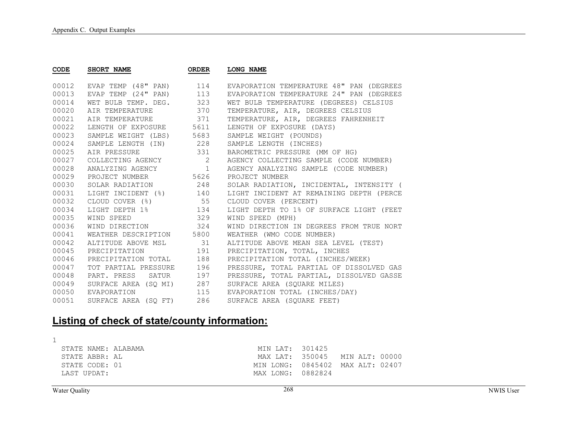| <b>CODE</b> | SHORT NAME               | <b>ORDER</b> | <b>LONG NAME</b>                         |
|-------------|--------------------------|--------------|------------------------------------------|
| 00012       | EVAP TEMP (48" PAN)      | 114          | EVAPORATION TEMPERATURE 48" PAN (DEGREES |
| 00013       | EVAP TEMP (24" PAN)      | 113          | EVAPORATION TEMPERATURE 24" PAN (DEGREES |
| 00014       | WET BULB TEMP. DEG.      | 323          | WET BULB TEMPERATURE (DEGREES) CELSIUS   |
| 00020       | AIR TEMPERATURE          | 370          | TEMPERATURE, AIR, DEGREES CELSIUS        |
| 00021       | AIR TEMPERATURE          | 371          | TEMPERATURE, AIR, DEGREES FAHRENHEIT     |
| 00022       | LENGTH OF EXPOSURE 5611  |              | LENGTH OF EXPOSURE (DAYS)                |
| 00023       | SAMPLE WEIGHT (LBS) 5683 |              | SAMPLE WEIGHT (POUNDS)                   |
| 00024       | SAMPLE LENGTH (IN) 228   |              | SAMPLE LENGTH (INCHES)                   |
| 00025       | AIR PRESSURE             | 331          | BAROMETRIC PRESSURE (MM OF HG)           |
| 00027       | COLLECTING AGENCY 2      |              | AGENCY COLLECTING SAMPLE (CODE NUMBER)   |
| 00028       | ANALYZING AGENCY 1       |              | AGENCY ANALYZING SAMPLE (CODE NUMBER)    |
| 00029       | PROJECT NUMBER 5626      |              | PROJECT NUMBER                           |
| 00030       | SOLAR RADIATION 248      |              | SOLAR RADIATION, INCIDENTAL, INTENSITY ( |
| 00031       | LIGHT INCIDENT (%) 140   |              | LIGHT INCIDENT AT REMAINING DEPTH (PERCE |
| 00032       | CLOUD COVER (%) 55       |              | CLOUD COVER (PERCENT)                    |
| 00034       | LIGHT DEPTH 1% 134       |              | LIGHT DEPTH TO 1% OF SURFACE LIGHT (FEET |
| 00035       | WIND SPEED               | 329          | WIND SPEED (MPH)                         |
| 00036       | WIND DIRECTION 324       |              | WIND DIRECTION IN DEGREES FROM TRUE NORT |
| 00041       | WEATHER DESCRIPTION 5800 |              | WEATHER (WMO CODE NUMBER)                |
| 00042       | ALTITUDE ABOVE MSL 31    |              | ALTITUDE ABOVE MEAN SEA LEVEL (TEST)     |
| 00045       | PRECIPITATION<br>191     |              | PRECIPITATION, TOTAL, INCHES             |
| 00046       | PRECIPITATION TOTAL      | 188          | PRECIPITATION TOTAL (INCHES/WEEK)        |
| 00047       | TOT PARTIAL PRESSURE     | 196          | PRESSURE, TOTAL PARTIAL OF DISSOLVED GAS |
| 00048       | PART. PRESS SATUR        | 197          | PRESSURE, TOTAL PARTIAL, DISSOLVED GASSE |
| 00049       | SURFACE AREA (SO MI)     | 287          | SURFACE AREA (SOUARE MILES)              |
| 00050       | EVAPORATION              | 115          | EVAPORATION TOTAL (INCHES/DAY)           |
| 00051       | SURFACE AREA (SO FT)     | 286          | SURFACE AREA (SOUARE FEET)               |

# **Listing of check of state/county information:**

| STATE NAME: ALABAMA | MIN LAT: 301425   |                                  |
|---------------------|-------------------|----------------------------------|
| STATE ABBR: AL      |                   | MAX LAT: 350045 MIN ALT: 00000   |
| STATE CODE: 01      |                   | MIN LONG: 0845402 MAX ALT: 02407 |
| LAST UPDAT:         | MAX LONG: 0882824 |                                  |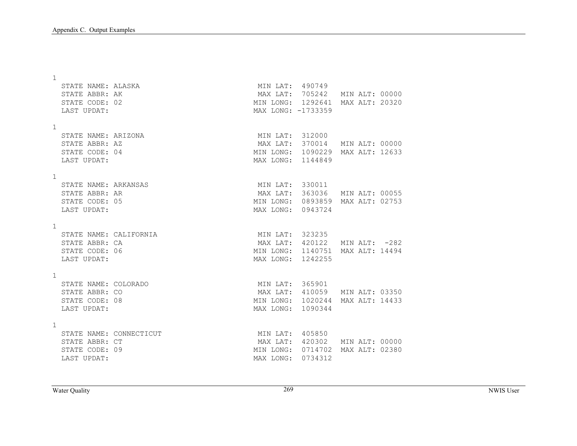1

|              | STATE NAME: ALASKA<br>STATE ABBR: AK<br>STATE CODE: 02<br>LAST UPDAT:     |                         | MIN LAT: 490749<br>MAX LAT: 705242 MIN ALT: 00000<br>MIN LONG: 1292641 MAX ALT: 20320<br>MAX LONG: -1733359 |  |                |
|--------------|---------------------------------------------------------------------------|-------------------------|-------------------------------------------------------------------------------------------------------------|--|----------------|
| $\mathbf{1}$ | STATE NAME: ARIZONA<br>STATE ABBR: AZ<br>STATE CODE: 04<br>LAST UPDAT:    |                         | MIN LAT: 312000<br>MAX LAT: 370014 MIN ALT: 00000<br>MIN LONG: 1090229 MAX ALT: 12633<br>MAX LONG: 1144849  |  |                |
| $\mathbf{1}$ | STATE NAME: ARKANSAS<br>STATE ABBR: AR<br>STATE CODE: 05<br>LAST UPDAT:   |                         | MIN LAT: 330011<br>MAX LAT: 363036 MIN ALT: 00055<br>MIN LONG: 0893859 MAX ALT: 02753<br>MAX LONG: 0943724  |  |                |
| $\mathbf{1}$ | STATE NAME: CALIFORNIA<br>STATE ABBR: CA<br>STATE CODE: 06<br>LAST UPDAT: |                         | MIN LAT: 323235<br>MAX LAT: 420122 MIN ALT: -282<br>MIN LONG: 1140751 MAX ALT: 14494<br>MAX LONG: 1242255   |  |                |
| $\mathbf{1}$ | STATE NAME: COLORADO<br>STATE ABBR: CO<br>STATE CODE: 08<br>LAST UPDAT:   |                         | MIN LAT: 365901<br>MAX LAT: 410059 MIN ALT: 03350<br>MIN LONG: 1020244 MAX ALT: 14433<br>MAX LONG: 1090344  |  |                |
| $\mathbf{1}$ | STATE ABBR: CT<br>STATE CODE: 09<br>LAST UPDAT:                           | STATE NAME: CONNECTICUT | MIN LAT: 405850<br>MAX LAT: 420302 MIN ALT: 00000<br>MIN LONG: 0714702<br>MAX LONG: 0734312                 |  | MAX ALT: 02380 |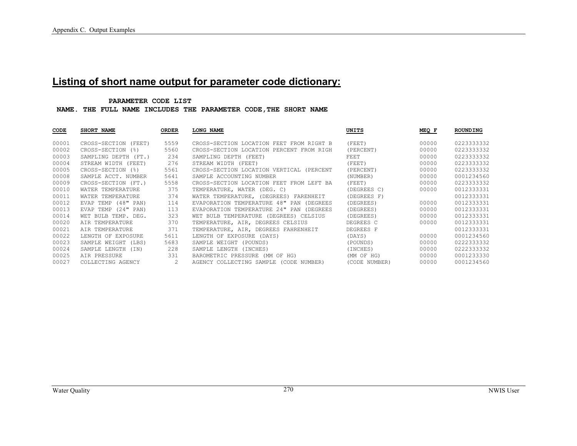# **Listing of short name output for parameter code dictionary:**

#### **PARAMETER CODE LIST**

 **NAME. THE FULL NAME INCLUDES THE PARAMETER CODE,THE SHORT NAME** 

| CODE  | SHORT NAME           | <b>ORDER</b> | <b>LONG NAME</b>                            | UNITS         | MEQ F | ROUNDING   |
|-------|----------------------|--------------|---------------------------------------------|---------------|-------|------------|
| 00001 | CROSS-SECTION (FEET) | 5559         | CROSS-SECTION LOCATION FEET FROM RIGHT B    | (FEET)        | 00000 | 0223333332 |
| 00002 | CROSS-SECTION (%)    | 5560         | CROSS-SECTION LOCATION PERCENT FROM RIGH    | (PERCENT)     | 00000 | 0223333332 |
| 00003 | SAMPLING DEPTH (FT.) | 234          | SAMPLING DEPTH (FEET)                       | FEET          | 00000 | 0223333332 |
| 00004 | STREAM WIDTH (FEET)  | 276          | STREAM WIDTH (FEET)                         | (FEET)        | 00000 | 0223333332 |
| 00005 | CROSS-SECTION (%)    | 5561         | CROSS-SECTION LOCATION VERTICAL (PERCENT    | (PERCENT)     | 00000 | 0223333332 |
| 00008 | SAMPLE ACCT. NUMBER  | 5641         | SAMPLE ACCOUNTING NUMBER                    | (NUMBER)      | 00000 | 0001234560 |
| 00009 | CROSS-SECTION (FT.)  | 5558         | CROSS-SECTION LOCATION FEET FROM LEFT BA    | (FEET)        | 00000 | 0223333332 |
| 00010 | WATER TEMPERATURE    | 375          | TEMPERATURE, WATER (DEG. C)                 | (DEGREES C)   | 00000 | 0012333331 |
| 00011 | WATER TEMPERATURE    | 374          | WATER TEMPERATURE, (DEGREES) FARENHEIT      | (DEGREES F)   |       | 0012333331 |
| 00012 | EVAP TEMP (48" PAN)  | 114          | EVAPORATION TEMPERATURE 48" PAN (DEGREES    | (DEGREES)     | 00000 | 0012333331 |
| 00013 | EVAP TEMP (24" PAN)  | 113          | EVAPORATION TEMPERATURE 24" PAN<br>(DEGREES | (DEGREES)     | 00000 | 0012333331 |
| 00014 | WET BULB TEMP. DEG.  | 323          | WET BULB TEMPERATURE (DEGREES) CELSIUS      | (DEGREES)     | 00000 | 0012333331 |
| 00020 | AIR TEMPERATURE      | 370          | TEMPERATURE, AIR, DEGREES CELSIUS           | DEGREES C     | 00000 | 0012333331 |
| 00021 | AIR TEMPERATURE      | 371          | TEMPERATURE, AIR, DEGREES FAHRENHEIT        | DEGREES F     |       | 0012333331 |
| 00022 | LENGTH OF EXPOSURE   | 5611         | LENGTH OF EXPOSURE (DAYS)                   | (DAYS)        | 00000 | 0001234560 |
| 00023 | SAMPLE WEIGHT (LBS)  | 5683         | SAMPLE WEIGHT (POUNDS)                      | (POUNDS)      | 00000 | 0222333332 |
| 00024 | SAMPLE LENGTH (IN)   | 228          | SAMPLE LENGTH (INCHES)                      | (INCHES)      | 00000 | 0222333332 |
| 00025 | AIR PRESSURE         | 331          | BAROMETRIC PRESSURE (MM OF HG)              | (MM OF HG)    | 00000 | 0001233330 |
| 00027 | COLLECTING AGENCY    | 2            | AGENCY COLLECTING SAMPLE (CODE NUMBER)      | (CODE NUMBER) | 00000 | 0001234560 |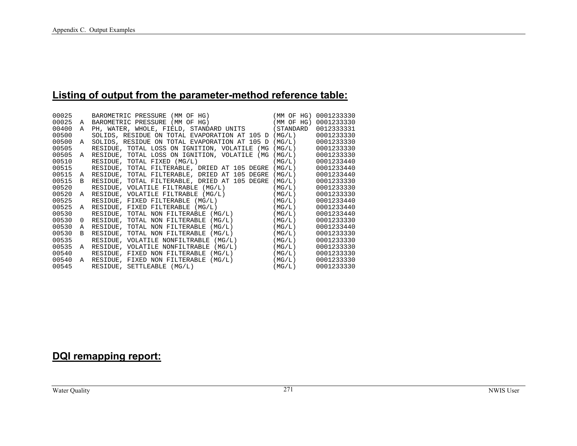## **Listing of output from the parameter-method reference table:**

| 00025 |              | BAROMETRIC PRESSURE (MM OF HG) (MM OF HG) 0001233330<br>A BAROMETRIC PRESSURE (MM OF HG) (MM OF HG) 0001233330                                   |        |            |
|-------|--------------|--------------------------------------------------------------------------------------------------------------------------------------------------|--------|------------|
| 00025 |              |                                                                                                                                                  |        |            |
| 00400 | A            | PH, WATER, WHOLE, FIELD, STANDARD UNITS (STANDARD                                                                                                |        | 0012333331 |
| 00500 |              | SOLIDS, RESIDUE ON TOTAL EVAPORATION AT 105 D (MG/L)                                                                                             |        | 0001233330 |
| 00500 | A            | SOLIDS, RESIDUE ON TOTAL EVAPORATION AT 105 D                                                                                                    | (MG/L) | 0001233330 |
| 00505 |              | RESIDUE, TOTAL LOSS ON IGNITION, VOLATILE (MG                                                                                                    | (MG/L) | 0001233330 |
| 00505 |              | A RESIDUE, TOTAL LOSS ON IGNITION, VOLATILE (MG                                                                                                  | (MG/L) | 0001233330 |
| 00510 |              | RESIDUE, TOTAL FIXED (MG/L)                                                                                                                      | (MG/L) | 0001233440 |
| 00515 |              | RESIDUE, TOTAL FILTERABLE, DRIED AT 105 DEGRE                                                                                                    | (MG/L) | 0001233440 |
| 00515 | A            | RESIDUE, TOTAL FILTERABLE, DRIED AT 105 DEGRE                                                                                                    | (MG/L) | 0001233440 |
| 00515 | $\mathbf{B}$ | RESIDUE, TOTAL FILTERABLE, DRIED AT 105 DEGRE                                                                                                    | (MG/L) | 0001233330 |
| 00520 |              | RESIDUE, VOLATILE FILTRABLE (MG/L)<br>RESIDUE, VOLATILE FILTRABLE (MG/L)                                                                         | (MG/L) | 0001233330 |
| 00520 | A            |                                                                                                                                                  | (MG/L) | 0001233330 |
| 00525 |              | RESIDUE, FIXED FILTERABLE (MG/L)<br>RESIDUE, FIXED FILTERABLE (MG/L)<br>RESIDUE, FIXED FILTERABLE (MG/L)<br>RESIDUE, TOTAL NON FILTERABLE (MG/L) | (MG/L) | 0001233440 |
| 00525 | A            |                                                                                                                                                  | (MG/L) | 0001233440 |
| 00530 |              |                                                                                                                                                  | (MG/L) | 0001233440 |
| 00530 | $\Omega$     | RESIDUE, TOTAL NON FILTERABLE (MG/L)                                                                                                             | (MG/L) | 0001233330 |
| 00530 | $\mathbb{A}$ | RESIDUE, TOTAL NON FILTERABLE (MG/L)                                                                                                             | (MG/L) | 0001233440 |
| 00530 | B            | RESIDUE, TOTAL NON FILTERABLE (MG/L)                                                                                                             | (MG/L) | 0001233330 |
| 00535 |              | RESIDUE, VOLATILE NONFILTRABLE (MG/L)                                                                                                            | (MG/L) | 0001233330 |
| 00535 | A            | RESIDUE, VOLATILE NONFILTRABLE (MG/L)                                                                                                            | (MG/L) | 0001233330 |
| 00540 |              | RESIDUE, FIXED NON FILTERABLE $(MG/L)$                                                                                                           | (MG/L) | 0001233330 |
| 00540 | A            | RESIDUE, FIXED NON FILTERABLE (MG/L)<br>preinir settlearle (MG/L)                                                                                | (MG/L) | 0001233330 |
| 00545 |              | RESIDUE, SETTLEABLE (MG/L)                                                                                                                       | (MG/L) | 0001233330 |

# **DQI remapping report:**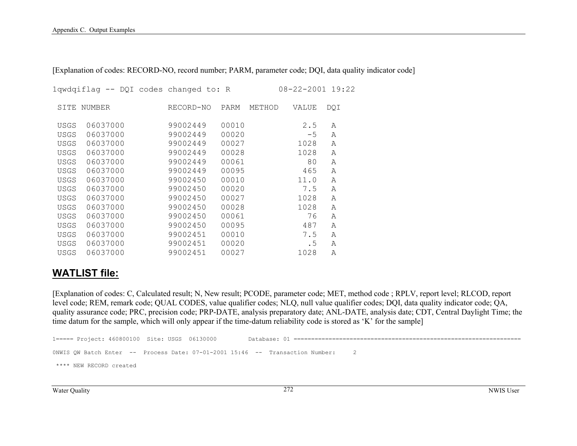|             | lqwdqiflag -- DQI codes changed to: R |           |       |        | $08 - 22 - 2001$ 19:22 |              |
|-------------|---------------------------------------|-----------|-------|--------|------------------------|--------------|
| SITE        | NUMBER                                | RECORD-NO | PARM  | METHOD | <b>VALUE</b>           | DQI          |
| <b>USGS</b> | 06037000                              | 99002449  | 00010 |        | 2.5                    | Α            |
| <b>USGS</b> | 06037000                              | 99002449  | 00020 |        | $-5$                   | $\mathbb{A}$ |
| <b>USGS</b> | 06037000                              | 99002449  | 00027 |        | 1028                   | $\mathbb{A}$ |
| <b>USGS</b> | 06037000                              | 99002449  | 00028 |        | 1028                   | Α            |
| <b>USGS</b> | 06037000                              | 99002449  | 00061 |        | 80                     | $\mathbb{A}$ |
| <b>USGS</b> | 06037000                              | 99002449  | 00095 |        | 465                    | $\mathbb{A}$ |
| <b>USGS</b> | 06037000                              | 99002450  | 00010 |        | 11.0                   | $\mathbb{A}$ |
| <b>USGS</b> | 06037000                              | 99002450  | 00020 |        | 7.5                    | $\mathbb{A}$ |
| <b>USGS</b> | 06037000                              | 99002450  | 00027 |        | 1028                   | $\mathbb{A}$ |
| <b>USGS</b> | 06037000                              | 99002450  | 00028 |        | 1028                   | $\mathbb{A}$ |
| <b>USGS</b> | 06037000                              | 99002450  | 00061 |        | 76                     | $\mathbb{A}$ |
| <b>USGS</b> | 06037000                              | 99002450  | 00095 |        | 487                    | $\mathbb{A}$ |
| <b>USGS</b> | 06037000                              | 99002451  | 00010 |        | 7.5                    | $\mathbb{A}$ |
| <b>USGS</b> | 06037000                              | 99002451  | 00020 |        | . 5                    | $\mathbb{A}$ |
| <b>USGS</b> | 06037000                              | 99002451  | 00027 |        | 1028                   | A            |

[Explanation of codes: RECORD-NO, record number; PARM, parameter code; DQI, data quality indicator code]

### **WATLIST file:**

[Explanation of codes: C, Calculated result; N, New result; PCODE, parameter code; MET, method code ; RPLV, report level; RLCOD, report level code; REM, remark code; QUAL CODES, value qualifier codes; NLQ, null value qualifier codes; DQI, data quality indicator code; QA, quality assurance code; PRC, precision code; PRP-DATE, analysis preparatory date; ANL-DATE, analysis date; CDT, Central Daylight Time; the time datum for the sample, which will only appear if the time-datum reliability code is stored as 'K' for the sample]

```
1===== Project: 460800100 Site: USGS 06130000 Database: 01 ================================================================= 
0NWIS OW Batch Enter -- Process Date: 07-01-2001 15:46 -- Transaction Number: 2
  **** NEW RECORD created
```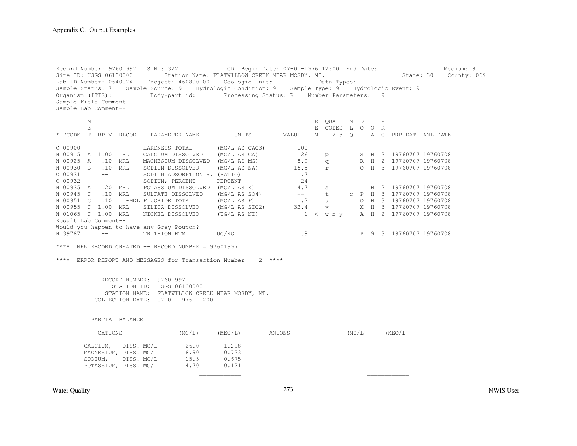Record Number: 97601997 SINT: 322 CDT Begin Date: 07-01-1976 12:00 End Date: Medium: 9 Site ID: USGS 06130000 Station Name: FLATWILLOW CREEK NEAR MOSBY, MT. State: 30 County: 069 Lab ID Number: 0640024 Project: 460800100 Geologic Unit: Data Types: Sample Status: 7 Sample Source: 9 Hydrologic Condition: 9 Sample Type: 9 Hydrologic Event: 9 Organism (ITIS): Body-part id: Processing Status: R Number Parameters: 9 Sample Field Comment-- Sample Lab Comment-- M R QUAL N D P E E CODES L Q Q R \* PCODE T RPLV RLCOD --PARAMETER NAME-- -----UNITS----- --VALUE-- M 1 2 3 Q I A C PRP-DATE ANL-DATE  $C$  00900  $---$  HARDNESS TOTAL (MG/L AS CAO3) 100 N 00915 A 1.00 LRL CALCIUM DISSOLVED (MG/L AS CA) 26 p S H 3 19760707 19760708 N 00925 A .10 MRL MAGNESIUM DISSOLVED (MG/LAS MG) 8.9 q<br>N 00930 B .10 MRL SODIUM DISSOLVED (MG/LAS NA) 15.5 m N 00930 B .10 MRL SODIUM DISSOLVED (MG/L AS NA) 15.5 r Q H 3 19760707 19760708 C 00931 -- SODIUM ADSORPTION R. (RATIO) .7 C 00932 -- SODIUM, PERCENT PERCENT 24 N 00935 A .20 MRL POTASSIUM DISSOLVED (MG/L AS K)  $-$  4.7 s I H 2 19760707 19760708<br>N 00945 C .10 MRL SULFATE DISSOLVED (MG/L AS SO4)  $-$  t c P H 3 19760707 19760708 N 00945 C .10 MRL SULFATE DISSOLVED (MG/L AS SO4) -- t c P H 3 19760707 19760708 N 00951 C .10 LT-MDL FLUORIDE TOTAL (MG/L AS F) .2 u O H 3 19760707 19760708 N 00955 C 1.00 MRL SILICA DISSOLVED (MG/L AS SIO2) 32.4 v X H 3 19760707 19760708 N 01065 C 1.00 MRL NICKEL DISSOLVED (UG/L AS NI) 1 < w x y A H 2 19760707 19760708 Result Lab Comment-- Would you happen to have any Grey Poupon?<br>N 39787 -- TRITHION BTM N 39787 -- TRITHION BTM UG/KG .8 P 9 3 19760707 19760708 \*\*\*\* NEW RECORD CREATED  $--$  RECORD NUMBER = 97601997 \*\*\*\* ERROR REPORT AND MESSAGES for Transaction Number 2 \*\*\*\* RECORD NUMBER: 97601997 STATION ID: USGS 06130000 STATION NAME: FLATWILLOW CREEK NEAR MOSBY, MT. COLLECTION DATE: 07-01-1976 1200 - - PARTIAL BALANCE CATIONS (MG/L) (MEQ/L) ANIONS (MG/L) (MEQ/L) CALCIUM, DISS. MG/L 26.0 1.298 MAGNESIUM, DISS. MG/L 8.90 0.733<br>SODIUM, DISS. MG/L 15.5 0.675 SODIUM, DISS. MG/L 15.5 0.675 POTASSIUM, DISS. MG/L 4.70 0.121  $\overline{\phantom{a}}$  , and the contract of the contract of the contract of the contract of the contract of the contract of the contract of the contract of the contract of the contract of the contract of the contract of the contrac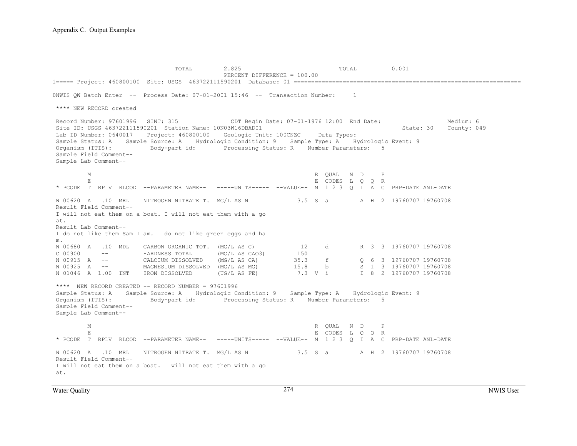TOTAL 2.825 TOTAL 0.001 PERCENT DIFFERENCE = 100.00 1===== Project: 460800100 Site: USGS 463722111590201 Database: 01 ================================================================= 0NWIS QW Batch Enter -- Process Date: 07-01-2001 15:46 -- Transaction Number: 1 \*\*\*\* NEW RECORD created Record Number: 97601996 SINT: 315 CDT Begin Date: 07-01-1976 12:00 End Date: Medium: 6 Site ID: USGS 463722111590201 Station Name: 10N03W16DBAD01 State: 30 County: 049 Lab ID Number: 0640017 Project: 460800100 Geologic Unit: 100CNZC Data Types: Sample Status: A Sample Source: A Hydrologic Condition: 9 Sample Type: A Hydrologic Event: 9 Organism (ITIS): Body-part id: Processing Status: R Number Parameters: 5 Sample Field Comment-- Sample Lab Comment-- M R QUAL N D P E E CODES LOOR ROOM E CODES LOOR \* PCODE T RPLV RLCOD --PARAMETER NAME-- -----UNITS----- --VALUE-- M 1 2 3 Q I A C PRP-DATE ANL-DATE N 00620 A .10 MRL NITROGEN NITRATE T. MG/L AS N 3.5 S a A H 2 19760707 19760708 Result Field Comment-- I will not eat them on a boat. I will not eat them with a go at. Result Lab Comment-- I do not like them Sam I am. I do not like green eggs and ha m. N 00680 A .10 MDL CARBON ORGANIC TOT. (MG/L AS C) 12 d R 3 3 19760707 19760708 C 00900 -- HARDNESS TOTAL (MG/L AS CAO3) 150 N 00915 A -- CALCIUM DISSOLVED (MG/L AS CA) 35.3 f Q 6 3 19760707 19760708 N 00925 A -- MAGNESIUM DISSOLVED (MG/L AS MG) 15.8 b S 1 3 19760707 19760708 N 01046 A 1.00 INT IRON DISSOLVED (UG/L AS FE) 7.3 V i I 8 2 19760707 19760708 \*\*\*\* NEW RECORD CREATED -- RECORD NUMBER = 97601996 Sample Status: A Sample Source: A Hydrologic Condition: 9 Sample Type: A Hydrologic Event: 9 Organism (ITIS): Body-part id: Processing Status: R Number Parameters: 5 Sample Field Comment-- Sample Lab Comment-- M R QUAL N D P E E CODES L Q Q R \* PCODE T RPLV RLCOD --PARAMETER NAME-- -----UNITS----- --VALUE-- M 1 2 3 Q I A C PRP-DATE ANL-DATE N 00620 A .10 MRL NITROGEN NITRATE T. MG/L AS N 3.5 S a A H 2 19760707 19760708 Result Field Comment-- I will not eat them on a boat. I will not eat them with a go at.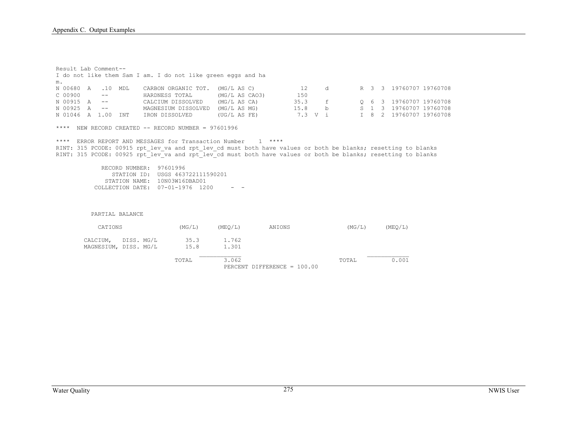Result Lab Comment-- I do not like them Sam I am. I do not like green eggs and ha m. N 00680 A .10 MDL CARBON ORGANIC TOT. (MG/L AS C) 12 d R 3 3 19760707 19760708 C 00900 -- HARDNESS TOTAL (MG/L AS CAO3) 150 N 00915 A -- CALCIUM DISSOLVED (MG/L AS CA) 35.3 f Q 6 3 19760707 19760708 N 00925 A -- MAGNESIUM DISSOLVED (MG/L AS MG) 15.8 b S 1 3 19760707 19760708<br>N 01046 A 1.00 INT IRON DISSOLVED (UG/L AS FE) 7.3 V i I 8 2 19760707 19760708 N 01046 A 1.00 INT IRON DISSOLVED (UG/L AS FE) 7.3 V i \*\*\*\* NEW RECORD CREATED  $--$  RECORD NUMBER = 97601996 \*\*\*\* ERROR REPORT AND MESSAGES for Transaction Number 1 \*\*\*\* RINT: 315 PCODE: 00915 rpt\_lev\_va and rpt\_lev\_cd must both have values or both be blanks; resetting to blanks RINT: 315 PCODE: 00925  $\text{pt-lev}\ \text{va}$  and  $\text{pt-lev}\ \text{cd}$  must both have values or both be blanks; resetting to blanks RECORD NUMBER: 97601996 STATION ID: USGS 463722111590201 STATION NAME: 10N03W16DBAD01 COLLECTION DATE: 07-01-1976 1200 - - PARTIAL BALANCE CATIONS (MG/L) (MEQ/L) ANIONS (MG/L) (MEQ/L) CALCIUM, DISS. MG/L 35.3 1.762<br>MAGNESIUM, DISS. MG/L 15.8 1.301 MAGNESIUM, DISS. MG/L 15.8 1.301 TOTAL 3.062 TOTAL 0.001

PERCENT DIFFERENCE = 100.00